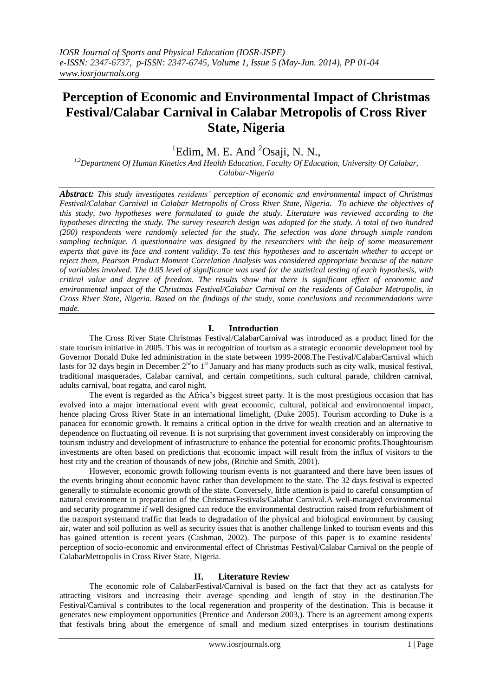# **Perception of Economic and Environmental Impact of Christmas Festival/Calabar Carnival in Calabar Metropolis of Cross River State, Nigeria**

<sup>1</sup>Edim, M. E. And  ${}^{2}$ Osaji, N. N.,

*1,2Department Of Human Kinetics And Health Education, Faculty Of Education, University Of Calabar, Calabar-Nigeria*

*Abstract: This study investigates residents' perception of economic and environmental impact of Christmas Festival/Calabar Carnival in Calabar Metropolis of Cross River State, Nigeria. To achieve the objectives of this study, two hypotheses were formulated to guide the study. Literature was reviewed according to the hypotheses directing the study. The survey research design was adopted for the study. A total of two hundred (200) respondents were randomly selected for the study. The selection was done through simple random sampling technique. A questionnaire was designed by the researchers with the help of some measurement experts that gave its face and content validity. To test this hypotheses and to ascertain whether to accept or reject them, Pearson Product Moment Correlation Analysis was considered appropriate because of the nature of variables involved. The 0.05 level of significance was used for the statistical testing of each hypothesis, with critical value and degree of freedom. The results show that there is significant effect of economic and environmental impact of the Christmas Festival/Calabar Carnival on the residents of Calabar Metropolis, in Cross River State, Nigeria. Based on the findings of the study, some conclusions and recommendations were made.* 

# **I. Introduction**

The Cross River State Christmas Festival/CalabarCarnival was introduced as a product lined for the state tourism initiative in 2005. This was in recognition of tourism as a strategic economic development tool by Governor Donald Duke led administration in the state between 1999-2008.The Festival/CalabarCarnival which lasts for 32 days begin in December  $2^{nd}$ to 1<sup>st</sup> January and has many products such as city walk, musical festival, traditional masquerades, Calabar carnival, and certain competitions, such cultural parade, children carnival, adults carnival, boat regatta, and carol night.

The event is regarded as the Africa's biggest street party. It is the most prestigious occasion that has evolved into a major international event with great economic, cultural, political and environmental impact, hence placing Cross River State in an international limelight, (Duke 2005). Tourism according to Duke is a panacea for economic growth. It remains a critical option in the drive for wealth creation and an alternative to dependence on fluctuating oil revenue. It is not surprising that government invest considerably on improving the tourism industry and development of infrastructure to enhance the potential for economic profits.Thoughtourism investments are often based on predictions that economic impact will result from the influx of visitors to the host city and the creation of thousands of new jobs, (Ritchie and Smith, 2001).

However, economic growth following tourism events is not guaranteed and there have been issues of the events bringing about economic havoc rather than development to the state. The 32 days festival is expected generally to stimulate economic growth of the state. Conversely, little attention is paid to careful consumption of natural environment in preparation of the ChristmasFestivals/Calabar Carnival.A well-managed environmental and security programme if well designed can reduce the environmental destruction raised from refurbishment of the transport systemand traffic that leads to degradation of the physical and biological environment by causing air, water and soil pollution as well as security issues that is another challenge linked to tourism events and this has gained attention is recent years (Cashman, 2002). The purpose of this paper is to examine residents' perception of socio-economic and environmental effect of Christmas Festival/Calabar Carnival on the people of CalabarMetropolis in Cross River State, Nigeria.

# **II. Literature Review**

The economic role of CalabarFestival/Carnival is based on the fact that they act as catalysts for attracting visitors and increasing their average spending and length of stay in the destination.The Festival/Carnival s contributes to the local regeneration and prosperity of the destination. This is because it generates new employment opportunities (Prentice and Anderson 2003,). There is an agreement among experts that festivals bring about the emergence of small and medium sized enterprises in tourism destinations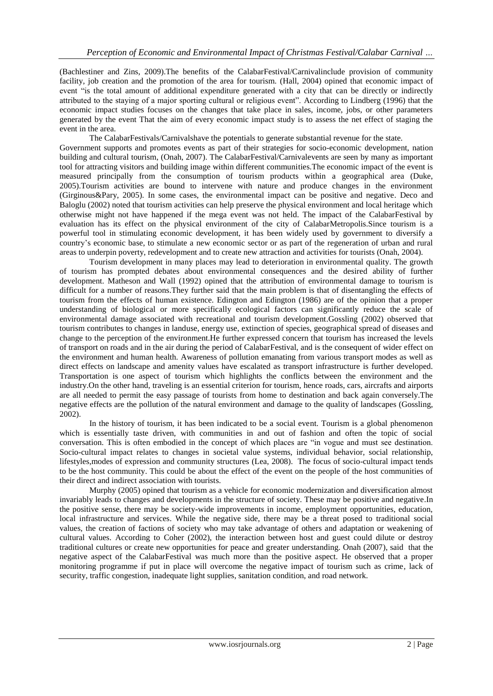(Bachlestiner and Zins, 2009).The benefits of the CalabarFestival/Carnivalinclude provision of community facility, job creation and the promotion of the area for tourism. (Hall, 2004) opined that economic impact of event "is the total amount of additional expenditure generated with a city that can be directly or indirectly attributed to the staying of a major sporting cultural or religious event". According to Lindberg (1996) that the economic impact studies focuses on the changes that take place in sales, income, jobs, or other parameters generated by the event That the aim of every economic impact study is to assess the net effect of staging the event in the area.

The CalabarFestivals/Carnivalshave the potentials to generate substantial revenue for the state. Government supports and promotes events as part of their strategies for socio-economic development, nation building and cultural tourism, (Onah, 2007). The CalabarFestival/Carnivalevents are seen by many as important tool for attracting visitors and building image within different communities.The economic impact of the event is measured principally from the consumption of tourism products within a geographical area (Duke, 2005).Tourism activities are bound to intervene with nature and produce changes in the environment (Girginous&Pary, 2005). In some cases, the environmental impact can be positive and negative. Deco and Baloglu (2002) noted that tourism activities can help preserve the physical environment and local heritage which otherwise might not have happened if the mega event was not held. The impact of the CalabarFestival by evaluation has its effect on the physical environment of the city of CalabarMetropolis.Since tourism is a powerful tool in stimulating economic development, it has been widely used by government to diversify a country's economic base, to stimulate a new economic sector or as part of the regeneration of urban and rural areas to underpin poverty, redevelopment and to create new attraction and activities for tourists (Onah, 2004).

Tourism development in many places may lead to deterioration in environmental quality. The growth of tourism has prompted debates about environmental consequences and the desired ability of further development. Matheson and Wall (1992) opined that the attribution of environmental damage to tourism is difficult for a number of reasons.They further said that the main problem is that of disentangling the effects of tourism from the effects of human existence. Edington and Edington (1986) are of the opinion that a proper understanding of biological or more specifically ecological factors can significantly reduce the scale of environmental damage associated with recreational and tourism development.Gossling (2002) observed that tourism contributes to changes in landuse, energy use, extinction of species, geographical spread of diseases and change to the perception of the environment.He further expressed concern that tourism has increased the levels of transport on roads and in the air during the period of CalabarFestival, and is the consequent of wider effect on the environment and human health. Awareness of pollution emanating from various transport modes as well as direct effects on landscape and amenity values have escalated as transport infrastructure is further developed. Transportation is one aspect of tourism which highlights the conflicts between the environment and the industry.On the other hand, traveling is an essential criterion for tourism, hence roads, cars, aircrafts and airports are all needed to permit the easy passage of tourists from home to destination and back again conversely.The negative effects are the pollution of the natural environment and damage to the quality of landscapes (Gossling, 2002).

In the history of tourism, it has been indicated to be a social event. Tourism is a global phenomenon which is essentially taste driven, with communities in and out of fashion and often the topic of social conversation. This is often embodied in the concept of which places are "in vogue and must see destination. Socio-cultural impact relates to changes in societal value systems, individual behavior, social relationship, lifestyles,modes of expression and community structures (Lea, 2008). The focus of socio-cultural impact tends to be the host community. This could be about the effect of the event on the people of the host communities of their direct and indirect association with tourists.

Murphy (2005) opined that tourism as a vehicle for economic modernization and diversification almost invariably leads to changes and developments in the structure of society. These may be positive and negative.In the positive sense, there may be society-wide improvements in income, employment opportunities, education, local infrastructure and services. While the negative side, there may be a threat posed to traditional social values, the creation of factions of society who may take advantage of others and adaptation or weakening of cultural values. According to Coher (2002), the interaction between host and guest could dilute or destroy traditional cultures or create new opportunities for peace and greater understanding. Onah (2007), said that the negative aspect of the CalabarFestival was much more than the positive aspect. He observed that a proper monitoring programme if put in place will overcome the negative impact of tourism such as crime, lack of security, traffic congestion, inadequate light supplies, sanitation condition, and road network.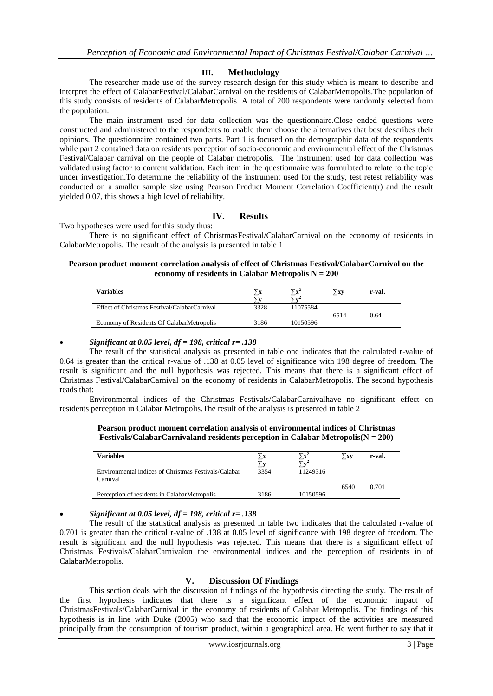# **III. Methodology**

The researcher made use of the survey research design for this study which is meant to describe and interpret the effect of CalabarFestival/CalabarCarnival on the residents of CalabarMetropolis.The population of this study consists of residents of CalabarMetropolis. A total of 200 respondents were randomly selected from the population.

The main instrument used for data collection was the questionnaire.Close ended questions were constructed and administered to the respondents to enable them choose the alternatives that best describes their opinions. The questionnaire contained two parts. Part 1 is focused on the demographic data of the respondents while part 2 contained data on residents perception of socio-economic and environmental effect of the Christmas Festival/Calabar carnival on the people of Calabar metropolis. The instrument used for data collection was validated using factor to content validation. Each item in the questionnaire was formulated to relate to the topic under investigation.To determine the reliability of the instrument used for the study, test retest reliability was conducted on a smaller sample size using Pearson Product Moment Correlation Coefficient(r) and the result yielded 0.07, this shows a high level of reliability.

## **IV. Results**

Two hypotheses were used for this study thus:

There is no significant effect of ChristmasFestival/CalabarCarnival on the economy of residents in CalabarMetropolis. The result of the analysis is presented in table 1

## **Pearson product moment correlation analysis of effect of Christmas Festival/CalabarCarnival on the economy of residents in Calabar Metropolis N = 200**

| Variables                                    |             |          | ∠xy  | r-val. |
|----------------------------------------------|-------------|----------|------|--------|
| Effect of Christmas Festival/CalabarCarnival | ТV.<br>3328 | 11075584 |      |        |
| Economy of Residents Of CalabarMetropolis    | 3186        | 10150596 | 6514 | 0.64   |
|                                              |             |          |      |        |

#### *Significant at 0.05 level, df = 198, critical r= .138*

The result of the statistical analysis as presented in table one indicates that the calculated r-value of 0.64 is greater than the critical r-value of .138 at 0.05 level of significance with 198 degree of freedom. The result is significant and the null hypothesis was rejected. This means that there is a significant effect of Christmas Festival/CalabarCarnival on the economy of residents in CalabarMetropolis. The second hypothesis reads that:

Environmental indices of the Christmas Festivals/CalabarCarnivalhave no significant effect on residents perception in Calabar Metropolis.The result of the analysis is presented in table 2

**Pearson product moment correlation analysis of environmental indices of Christmas Festivals/CalabarCarnivaland residents perception in Calabar Metropolis(N = 200)**

| Variables                                                        |      |          | $\sum$ XV | r-val. |
|------------------------------------------------------------------|------|----------|-----------|--------|
| Environmental indices of Christmas Festivals/Calabar<br>Carnival | 3354 | 11249316 |           |        |
| Perception of residents in CalabarMetropolis                     | 3186 | 10150596 | 6540      | 0.701  |

## *Significant at 0.05 level, df = 198, critical r= .138*

The result of the statistical analysis as presented in table two indicates that the calculated r-value of 0.701 is greater than the critical r-value of .138 at 0.05 level of significance with 198 degree of freedom. The result is significant and the null hypothesis was rejected. This means that there is a significant effect of Christmas Festivals/CalabarCarnivalon the environmental indices and the perception of residents in of CalabarMetropolis.

# **V. Discussion Of Findings**

This section deals with the discussion of findings of the hypothesis directing the study. The result of the first hypothesis indicates that there is a significant effect of the economic impact of ChristmasFestivals/CalabarCarnival in the economy of residents of Calabar Metropolis. The findings of this hypothesis is in line with Duke (2005) who said that the economic impact of the activities are measured principally from the consumption of tourism product, within a geographical area. He went further to say that it